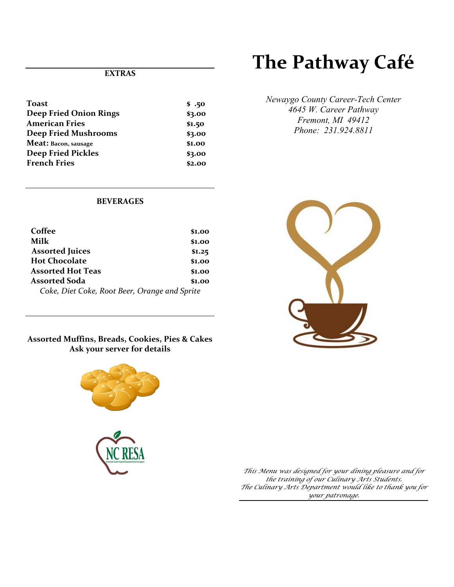# **EXTRAS**

| <b>Toast</b>                  | \$.50  |
|-------------------------------|--------|
| <b>Deep Fried Onion Rings</b> | \$3.00 |
| <b>American Fries</b>         | \$1.50 |
| <b>Deep Fried Mushrooms</b>   | \$3.00 |
| Meat: Bacon, sausage          | \$1.00 |
| <b>Deep Fried Pickles</b>     | \$3.00 |
| <b>French Fries</b>           | \$2.00 |
|                               |        |

# **The Pathway Café**

*Newaygo County Career-Tech Center 4645 W. Career Pathway Fremont, MI 49412 Phone: 231.924.8811*

# **BEVERAGES**

| Coffee                                        | \$1.00 |
|-----------------------------------------------|--------|
| Milk                                          | \$1.00 |
| <b>Assorted Juices</b>                        | \$1.25 |
| <b>Hot Chocolate</b>                          | \$1.00 |
| <b>Assorted Hot Teas</b>                      | \$1.00 |
| <b>Assorted Soda</b>                          | \$1.00 |
| Coke, Diet Coke, Root Beer, Orange and Sprite |        |

# **Assorted Muffins, Breads, Cookies, Pies & Cakes Ask your server for details**





*This Menu was designed for your dining pleasure and for the training of our Culinary Arts Students. The Culinary Arts Department would like to thank you for your patronage.*